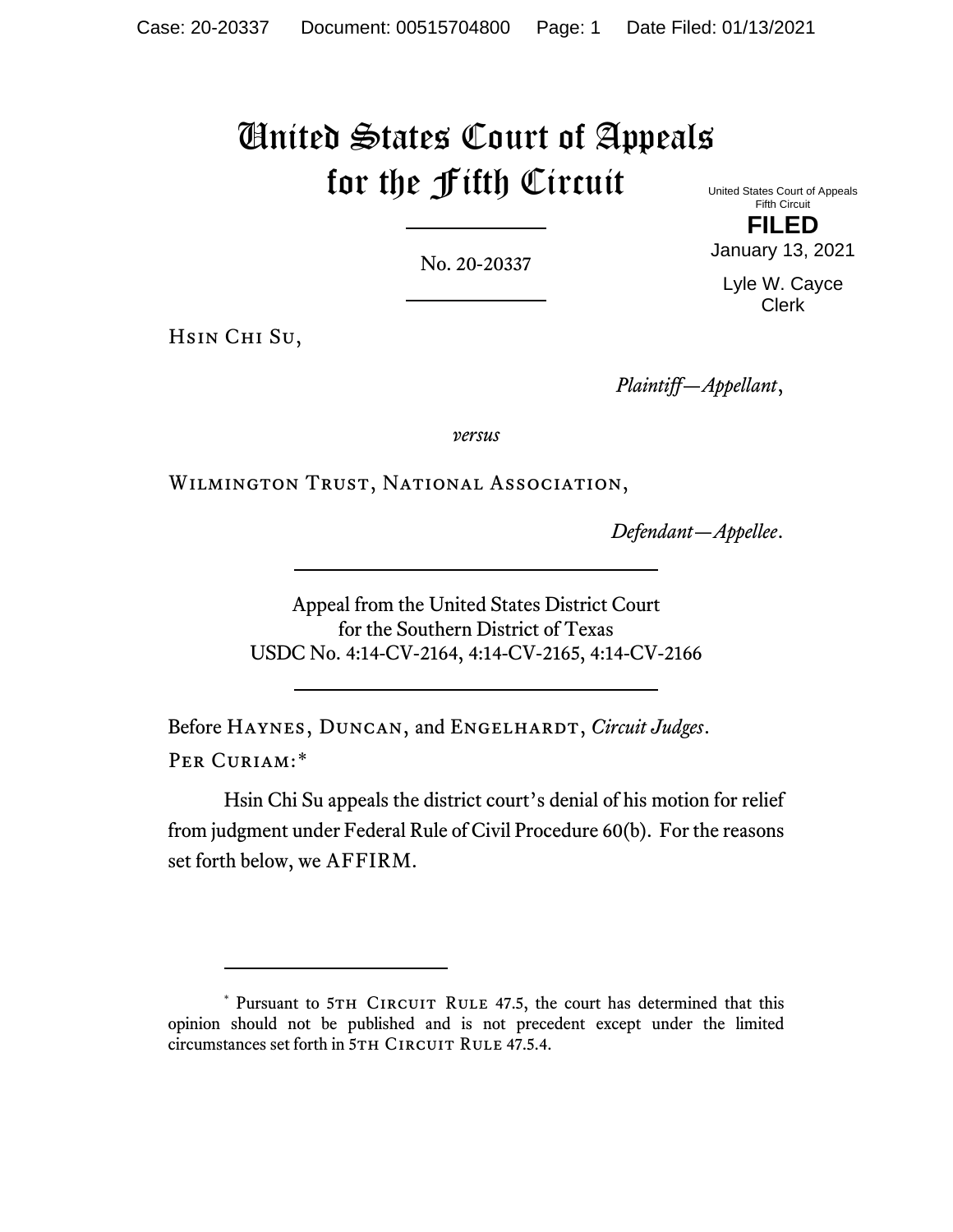# United States Court of Appeals for the Fifth Circuit

No. 20-20337

United States Court of Appeals Fifth Circuit **FILED**

January 13, 2021

Lyle W. Cayce Clerk

Hsin Chi Su,

*Plaintiff—Appellant*,

*versus*

Wilmington Trust, National Association,

*Defendant—Appellee*.

Appeal from the United States District Court for the Southern District of Texas USDC No. 4:14-CV-2164, 4:14-CV-2165, 4:14-CV-2166

Before HAYNES, DUNCAN, and ENGELHARDT, *Circuit Judges*. PER CURIAM:[\\*](#page-0-0)

Hsin Chi Su appeals the district court's denial of his motion for relief from judgment under Federal Rule of Civil Procedure 60(b). For the reasons set forth below, we AFFIRM.

<span id="page-0-0"></span><sup>\*</sup> Pursuant to 5TH CIRCUIT RULE 47.5, the court has determined that this opinion should not be published and is not precedent except under the limited circumstances set forth in 5TH CIRCUIT RULE 47.5.4.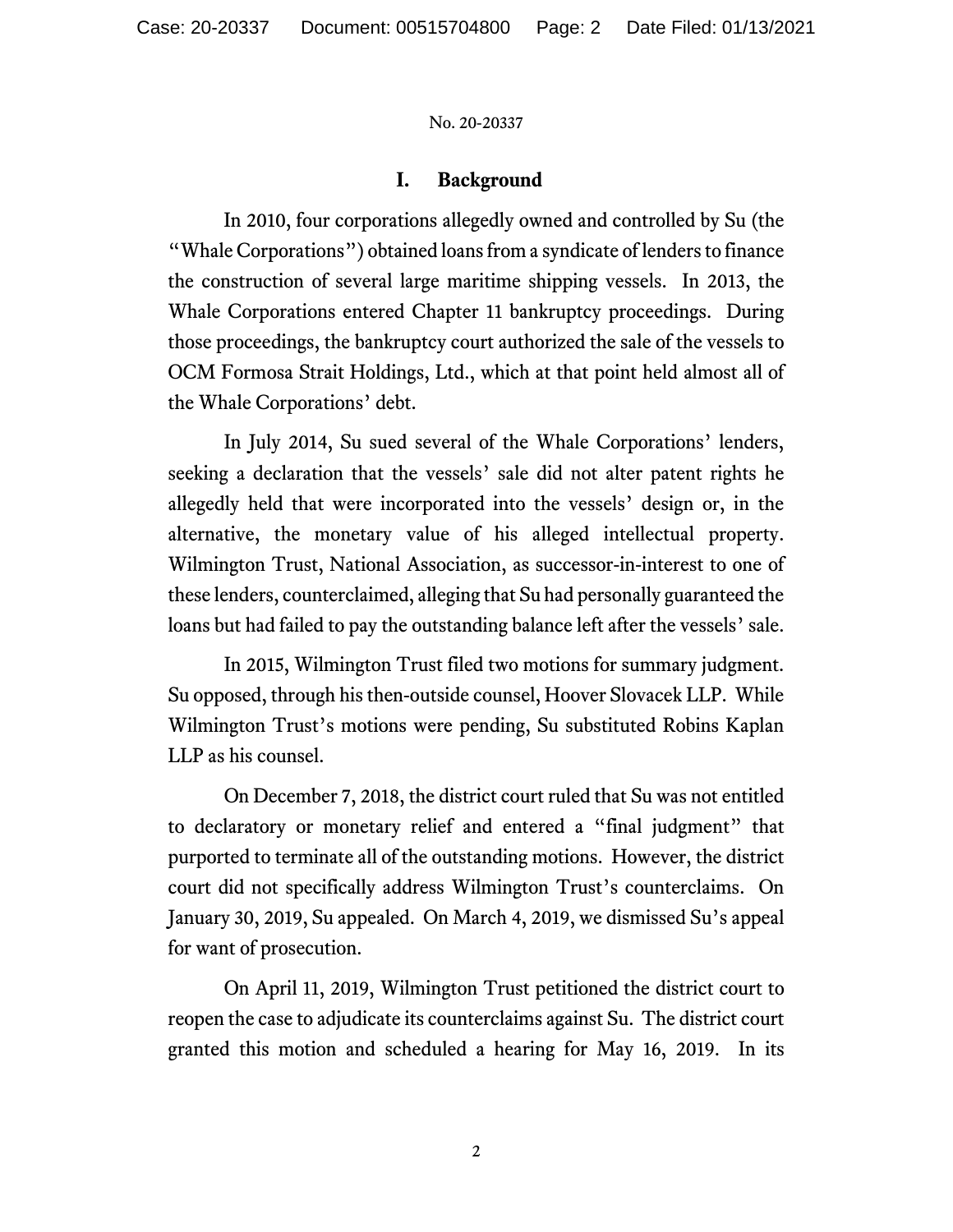# **I. Background**

In 2010, four corporations allegedly owned and controlled by Su (the "Whale Corporations") obtained loans from a syndicate of lenders to finance the construction of several large maritime shipping vessels. In 2013, the Whale Corporations entered Chapter 11 bankruptcy proceedings. During those proceedings, the bankruptcy court authorized the sale of the vessels to OCM Formosa Strait Holdings, Ltd., which at that point held almost all of the Whale Corporations' debt.

In July 2014, Su sued several of the Whale Corporations' lenders, seeking a declaration that the vessels' sale did not alter patent rights he allegedly held that were incorporated into the vessels' design or, in the alternative, the monetary value of his alleged intellectual property. Wilmington Trust, National Association, as successor-in-interest to one of these lenders, counterclaimed, alleging that Su had personally guaranteed the loans but had failed to pay the outstanding balance left after the vessels' sale.

In 2015, Wilmington Trust filed two motions for summary judgment. Su opposed, through his then-outside counsel, Hoover Slovacek LLP. While Wilmington Trust's motions were pending, Su substituted Robins Kaplan LLP as his counsel.

On December 7, 2018, the district court ruled that Su was not entitled to declaratory or monetary relief and entered a "final judgment" that purported to terminate all of the outstanding motions. However, the district court did not specifically address Wilmington Trust's counterclaims. On January 30, 2019, Su appealed. On March 4, 2019, we dismissed Su's appeal for want of prosecution.

On April 11, 2019, Wilmington Trust petitioned the district court to reopen the case to adjudicate its counterclaims against Su. The district court granted this motion and scheduled a hearing for May 16, 2019. In its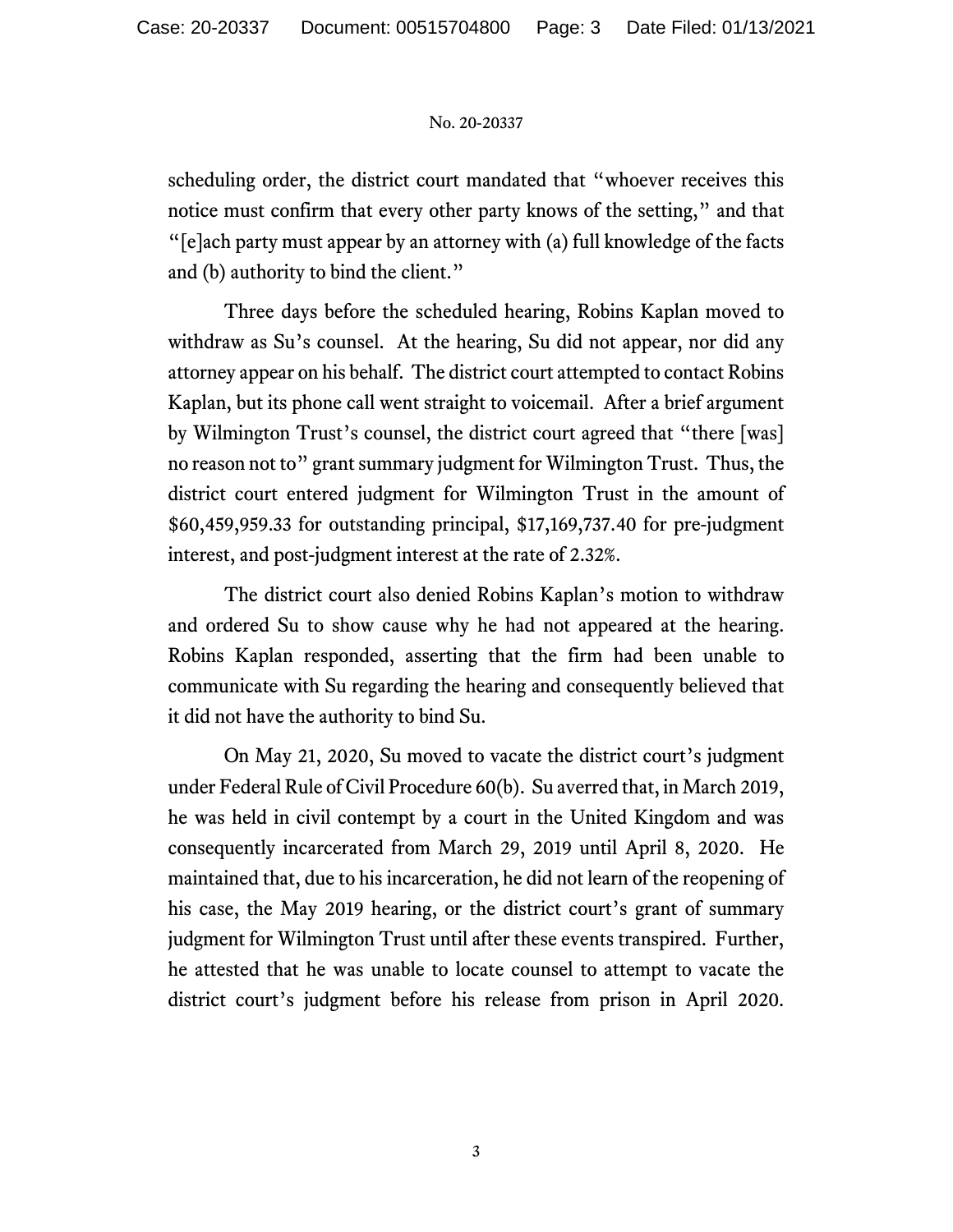scheduling order, the district court mandated that "whoever receives this notice must confirm that every other party knows of the setting," and that "[e]ach party must appear by an attorney with (a) full knowledge of the facts and (b) authority to bind the client."

Three days before the scheduled hearing, Robins Kaplan moved to withdraw as Su's counsel. At the hearing, Su did not appear, nor did any attorney appear on his behalf. The district court attempted to contact Robins Kaplan, but its phone call went straight to voicemail. After a brief argument by Wilmington Trust's counsel, the district court agreed that "there [was] no reason not to" grant summary judgment for Wilmington Trust. Thus, the district court entered judgment for Wilmington Trust in the amount of \$60,459,959.33 for outstanding principal, \$17,169,737.40 for pre-judgment interest, and post-judgment interest at the rate of 2.32%.

The district court also denied Robins Kaplan's motion to withdraw and ordered Su to show cause why he had not appeared at the hearing. Robins Kaplan responded, asserting that the firm had been unable to communicate with Su regarding the hearing and consequently believed that it did not have the authority to bind Su.

On May 21, 2020, Su moved to vacate the district court's judgment under Federal Rule of Civil Procedure 60(b). Su averred that, in March 2019, he was held in civil contempt by a court in the United Kingdom and was consequently incarcerated from March 29, 2019 until April 8, 2020. He maintained that, due to his incarceration, he did not learn of the reopening of his case, the May 2019 hearing, or the district court's grant of summary judgment for Wilmington Trust until after these events transpired. Further, he attested that he was unable to locate counsel to attempt to vacate the district court's judgment before his release from prison in April 2020.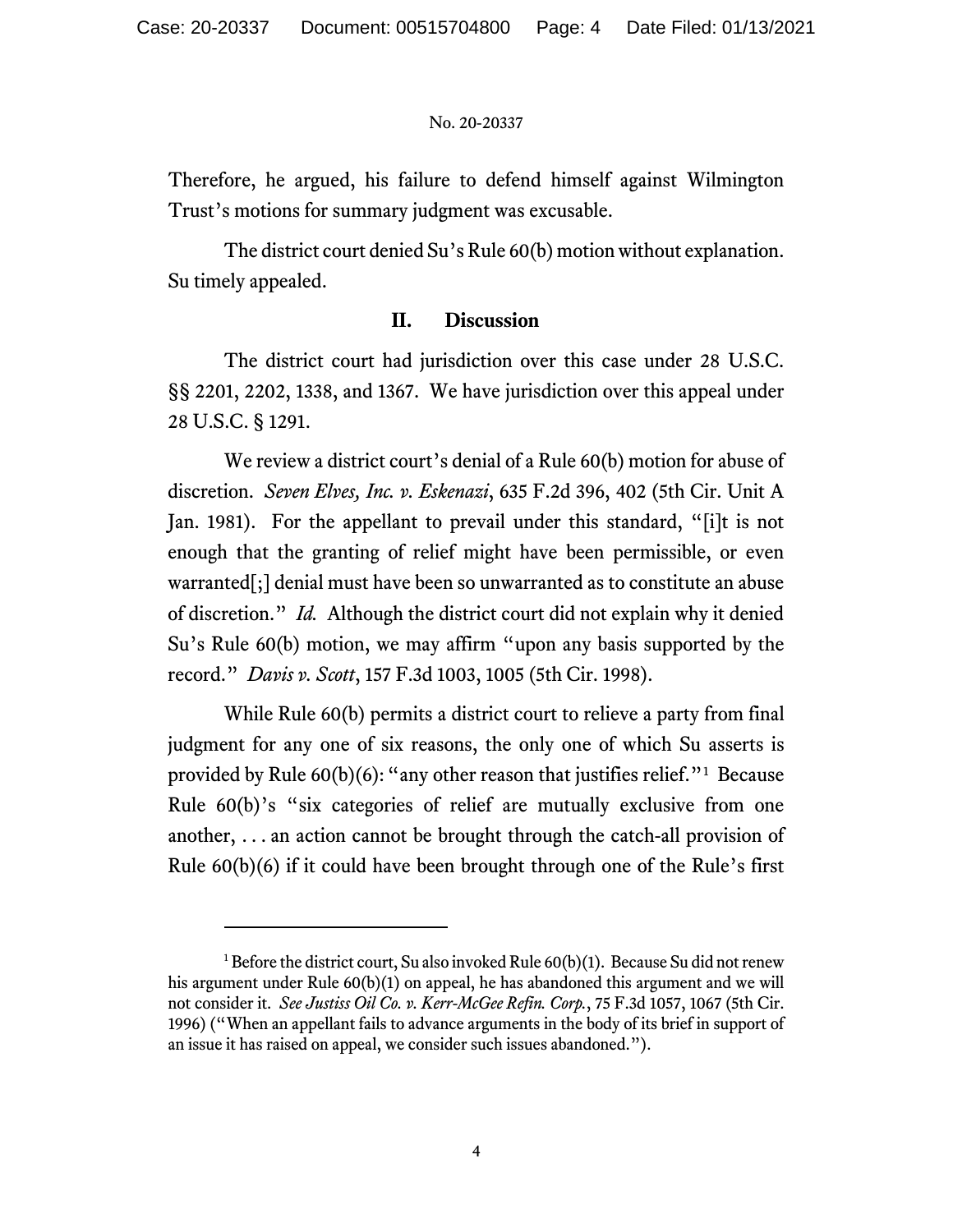Therefore, he argued, his failure to defend himself against Wilmington Trust's motions for summary judgment was excusable.

The district court denied Su's Rule 60(b) motion without explanation. Su timely appealed.

# **II. Discussion**

The district court had jurisdiction over this case under 28 U.S.C. §§ 2201, 2202, 1338, and 1367. We have jurisdiction over this appeal under 28 U.S.C. § 1291.

We review a district court's denial of a Rule 60(b) motion for abuse of discretion. *Seven Elves, Inc. v. Eskenazi*, 635 F.2d 396, 402 (5th Cir. Unit A Jan. 1981). For the appellant to prevail under this standard, "[i]t is not enough that the granting of relief might have been permissible, or even warranted[;] denial must have been so unwarranted as to constitute an abuse of discretion." *Id.* Although the district court did not explain why it denied Su's Rule 60(b) motion, we may affirm "upon any basis supported by the record." *Davis v. Scott*, 157 F.3d 1003, 1005 (5th Cir. 1998).

While Rule 60(b) permits a district court to relieve a party from final judgment for any one of six reasons, the only one of which Su asserts is provided by Rule  $60(b)(6)$ : "any other reason that justifies relief."<sup>[1](#page-3-0)</sup> Because Rule 60(b)'s "six categories of relief are mutually exclusive from one another, . . . an action cannot be brought through the catch-all provision of Rule 60(b)(6) if it could have been brought through one of the Rule's first

<span id="page-3-0"></span><sup>&</sup>lt;sup>1</sup> Before the district court, Su also invoked Rule  $60(b)(1)$ . Because Su did not renew his argument under Rule 60(b)(1) on appeal, he has abandoned this argument and we will not consider it. *See Justiss Oil Co. v. Kerr-McGee Refin. Corp.*, 75 F.3d 1057, 1067 (5th Cir. 1996) ("When an appellant fails to advance arguments in the body of its brief in support of an issue it has raised on appeal, we consider such issues abandoned.").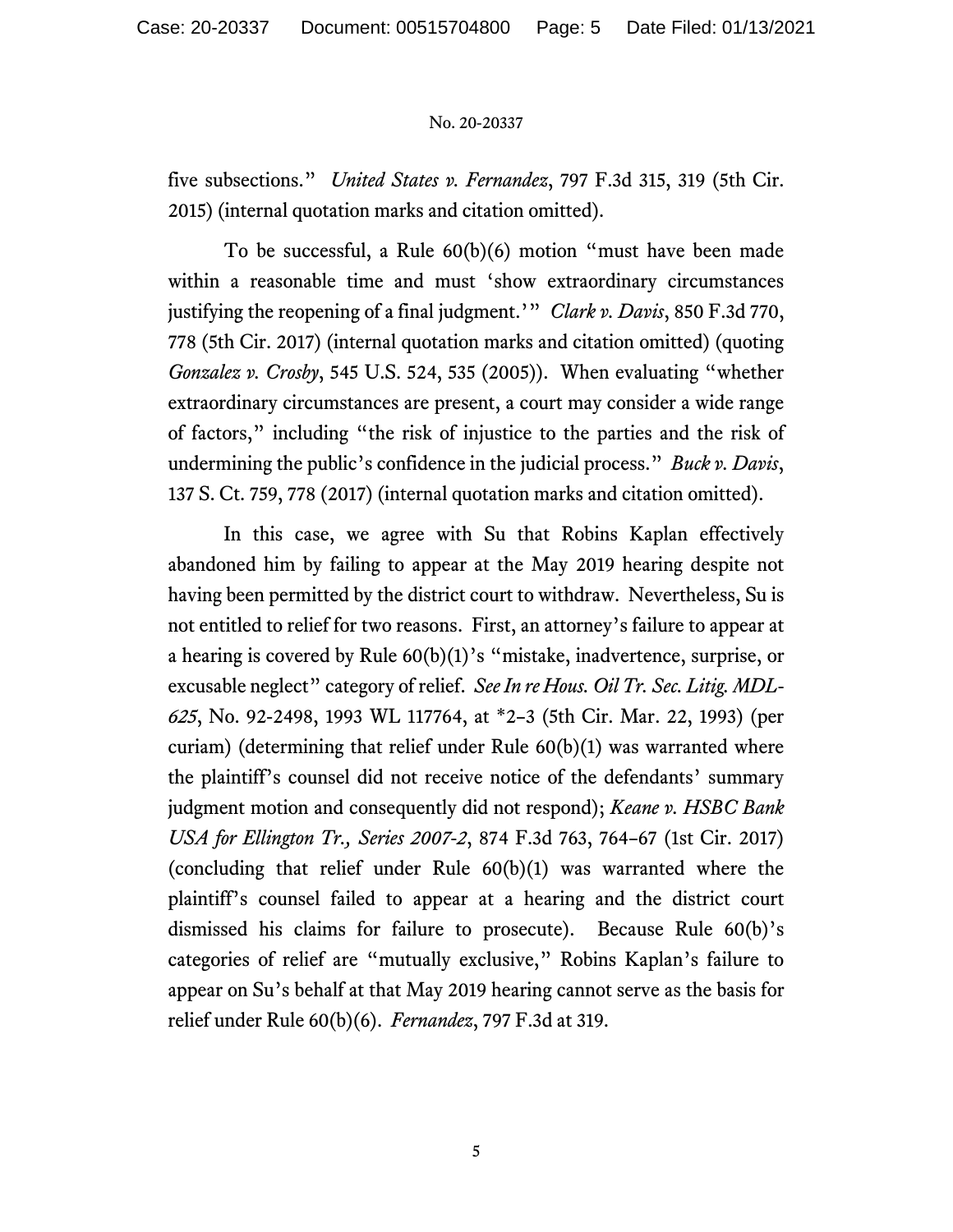five subsections." *United States v. Fernandez*, 797 F.3d 315, 319 (5th Cir. 2015) (internal quotation marks and citation omitted).

To be successful, a Rule 60(b)(6) motion "must have been made within a reasonable time and must 'show extraordinary circumstances justifying the reopening of a final judgment.'" *Clark v. Davis*, 850 F.3d 770, 778 (5th Cir. 2017) (internal quotation marks and citation omitted) (quoting *Gonzalez v. Crosby*, 545 U.S. 524, 535 (2005)). When evaluating "whether extraordinary circumstances are present, a court may consider a wide range of factors," including "the risk of injustice to the parties and the risk of undermining the public's confidence in the judicial process." *Buck v. Davis*, 137 S. Ct. 759, 778 (2017) (internal quotation marks and citation omitted).

In this case, we agree with Su that Robins Kaplan effectively abandoned him by failing to appear at the May 2019 hearing despite not having been permitted by the district court to withdraw. Nevertheless, Su is not entitled to relief for two reasons. First, an attorney's failure to appear at a hearing is covered by Rule 60(b)(1)'s "mistake, inadvertence, surprise, or excusable neglect" category of relief. *See In re Hous. Oil Tr. Sec. Litig. MDL-625*, No. 92-2498, 1993 WL 117764, at \*2–3 (5th Cir. Mar. 22, 1993) (per curiam) (determining that relief under Rule 60(b)(1) was warranted where the plaintiff's counsel did not receive notice of the defendants' summary judgment motion and consequently did not respond); *Keane v. HSBC Bank USA for Ellington Tr., Series 2007-2*, 874 F.3d 763, 764–67 (1st Cir. 2017) (concluding that relief under Rule 60(b)(1) was warranted where the plaintiff's counsel failed to appear at a hearing and the district court dismissed his claims for failure to prosecute). Because Rule 60(b)'s categories of relief are "mutually exclusive," Robins Kaplan's failure to appear on Su's behalf at that May 2019 hearing cannot serve as the basis for relief under Rule 60(b)(6). *Fernandez*, 797 F.3d at 319.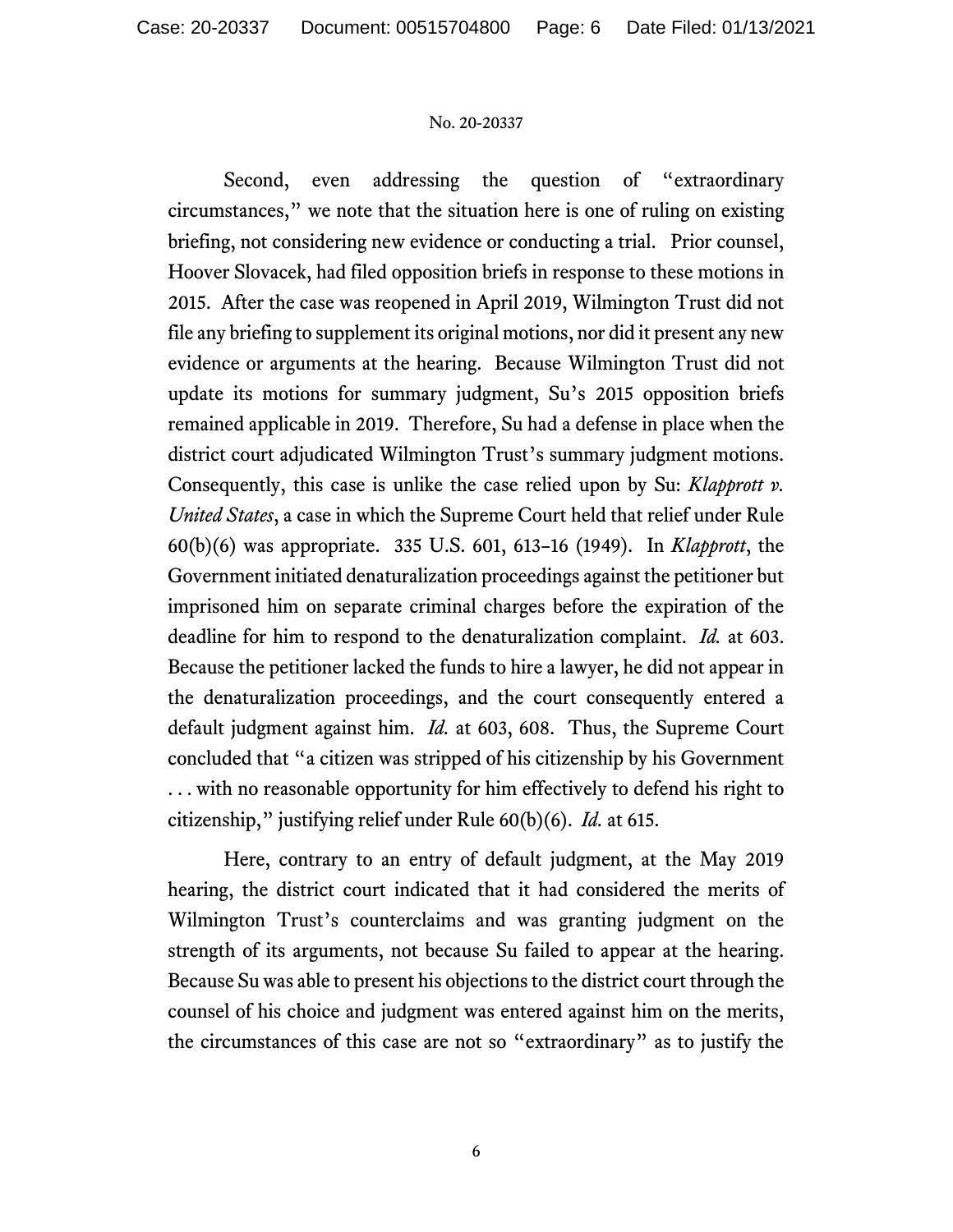Second, even addressing the question of "extraordinary circumstances," we note that the situation here is one of ruling on existing briefing, not considering new evidence or conducting a trial. Prior counsel, Hoover Slovacek, had filed opposition briefs in response to these motions in 2015. After the case was reopened in April 2019, Wilmington Trust did not file any briefing to supplement its original motions, nor did it present any new evidence or arguments at the hearing. Because Wilmington Trust did not update its motions for summary judgment, Su's 2015 opposition briefs remained applicable in 2019. Therefore, Su had a defense in place when the district court adjudicated Wilmington Trust's summary judgment motions. Consequently, this case is unlike the case relied upon by Su: *Klapprott v. United States*, a case in which the Supreme Court held that relief under Rule 60(b)(6) was appropriate. 335 U.S. 601, 613–16 (1949). In *Klapprott*, the Government initiated denaturalization proceedings against the petitioner but imprisoned him on separate criminal charges before the expiration of the deadline for him to respond to the denaturalization complaint. *Id.* at 603. Because the petitioner lacked the funds to hire a lawyer, he did not appear in the denaturalization proceedings, and the court consequently entered a default judgment against him. *Id.* at 603, 608. Thus, the Supreme Court concluded that "a citizen was stripped of his citizenship by his Government . . . with no reasonable opportunity for him effectively to defend his right to citizenship," justifying relief under Rule 60(b)(6). *Id.* at 615.

Here, contrary to an entry of default judgment, at the May 2019 hearing, the district court indicated that it had considered the merits of Wilmington Trust's counterclaims and was granting judgment on the strength of its arguments, not because Su failed to appear at the hearing. Because Su was able to present his objections to the district court through the counsel of his choice and judgment was entered against him on the merits, the circumstances of this case are not so "extraordinary" as to justify the